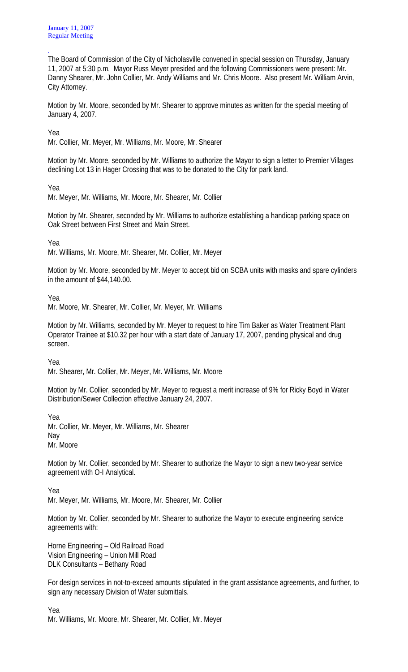. The Board of Commission of the City of Nicholasville convened in special session on Thursday, January 11, 2007 at 5:30 p.m. Mayor Russ Meyer presided and the following Commissioners were present: Mr. Danny Shearer, Mr. John Collier, Mr. Andy Williams and Mr. Chris Moore. Also present Mr. William Arvin, City Attorney.

Motion by Mr. Moore, seconded by Mr. Shearer to approve minutes as written for the special meeting of January 4, 2007.

Yea

Mr. Collier, Mr. Meyer, Mr. Williams, Mr. Moore, Mr. Shearer

Motion by Mr. Moore, seconded by Mr. Williams to authorize the Mayor to sign a letter to Premier Villages declining Lot 13 in Hager Crossing that was to be donated to the City for park land.

Yea

Mr. Meyer, Mr. Williams, Mr. Moore, Mr. Shearer, Mr. Collier

Motion by Mr. Shearer, seconded by Mr. Williams to authorize establishing a handicap parking space on Oak Street between First Street and Main Street.

Yea

Mr. Williams, Mr. Moore, Mr. Shearer, Mr. Collier, Mr. Meyer

Motion by Mr. Moore, seconded by Mr. Meyer to accept bid on SCBA units with masks and spare cylinders in the amount of \$44,140.00.

Yea

Mr. Moore, Mr. Shearer, Mr. Collier, Mr. Meyer, Mr. Williams

Motion by Mr. Williams, seconded by Mr. Meyer to request to hire Tim Baker as Water Treatment Plant Operator Trainee at \$10.32 per hour with a start date of January 17, 2007, pending physical and drug screen.

Yea

Mr. Shearer, Mr. Collier, Mr. Meyer, Mr. Williams, Mr. Moore

Motion by Mr. Collier, seconded by Mr. Meyer to request a merit increase of 9% for Ricky Boyd in Water Distribution/Sewer Collection effective January 24, 2007.

Yea Mr. Collier, Mr. Meyer, Mr. Williams, Mr. Shearer Nay Mr. Moore

Motion by Mr. Collier, seconded by Mr. Shearer to authorize the Mayor to sign a new two-year service agreement with O-I Analytical.

Yea

Mr. Meyer, Mr. Williams, Mr. Moore, Mr. Shearer, Mr. Collier

Motion by Mr. Collier, seconded by Mr. Shearer to authorize the Mayor to execute engineering service agreements with:

Horne Engineering – Old Railroad Road Vision Engineering – Union Mill Road DLK Consultants – Bethany Road

For design services in not-to-exceed amounts stipulated in the grant assistance agreements, and further, to sign any necessary Division of Water submittals.

Yea Mr. Williams, Mr. Moore, Mr. Shearer, Mr. Collier, Mr. Meyer